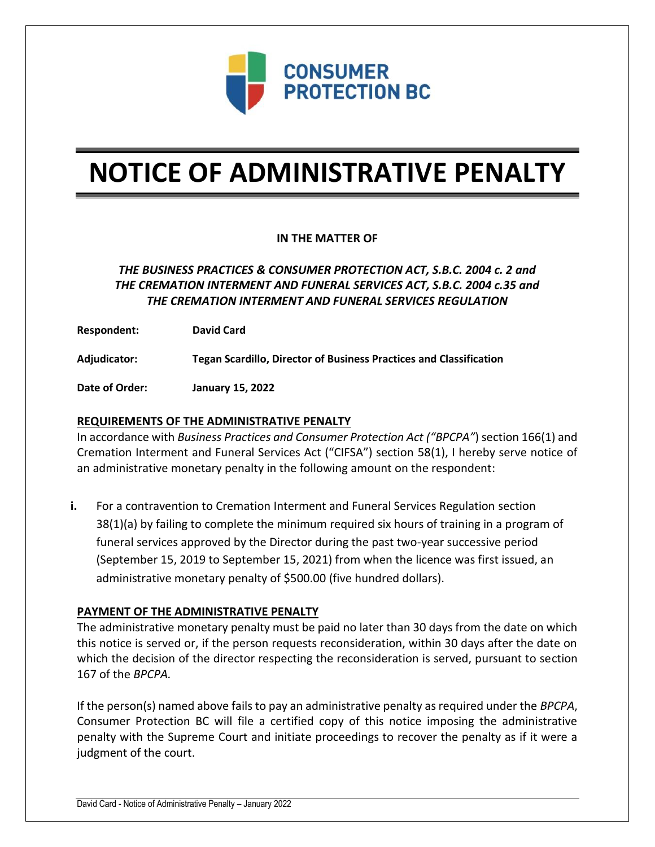

# **NOTICE OF ADMINISTRATIVE PENALTY**

## **IN THE MATTER OF**

# *THE BUSINESS PRACTICES & CONSUMER PROTECTION ACT, S.B.C. 2004 c. 2 and THE CREMATION INTERMENT AND FUNERAL SERVICES ACT, S.B.C. 2004 c.35 and THE CREMATION INTERMENT AND FUNERAL SERVICES REGULATION*

**Respondent: David Card**

**Adjudicator: Tegan Scardillo, Director of Business Practices and Classification**

**Date of Order: January 15, 2022**

### **REQUIREMENTS OF THE ADMINISTRATIVE PENALTY**

In accordance with *Business Practices and Consumer Protection Act ("BPCPA"*) section 166(1) and Cremation Interment and Funeral Services Act ("CIFSA") section 58(1), I hereby serve notice of an administrative monetary penalty in the following amount on the respondent:

**i.** For a contravention to Cremation Interment and Funeral Services Regulation section 38(1)(a) by failing to complete the minimum required six hours of training in a program of funeral services approved by the Director during the past two-year successive period (September 15, 2019 to September 15, 2021) from when the licence was first issued, an administrative monetary penalty of \$500.00 (five hundred dollars).

#### **PAYMENT OF THE ADMINISTRATIVE PENALTY**

The administrative monetary penalty must be paid no later than 30 days from the date on which this notice is served or, if the person requests reconsideration, within 30 days after the date on which the decision of the director respecting the reconsideration is served, pursuant to section 167 of the *BPCPA.* 

If the person(s) named above fails to pay an administrative penalty as required under the *BPCPA*, Consumer Protection BC will file a certified copy of this notice imposing the administrative penalty with the Supreme Court and initiate proceedings to recover the penalty as if it were a judgment of the court.